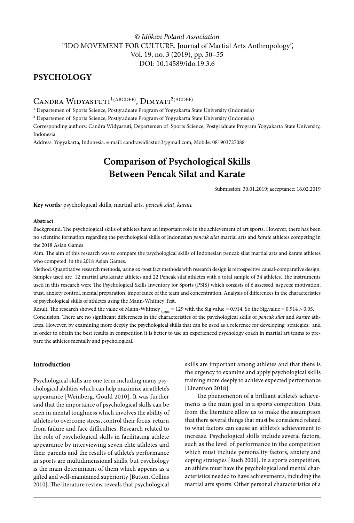# **PSYCHOLOGY**

# CANDRA WIDYASTUTI<sup>1(ABCDEF)</sup>, DIMYATI<sup>2(ACDEF)</sup>

<sup>1</sup> Departemen of Sports Science, Postgraduate Program of Yogyakarta State University (Indonesia)

² Departemen of Sports Science, Postgraduate Program of Yogyakarta State University (Indonesia)

Corresponding authors: Candra Widyastuti, Departemen of Sports Science, Postgraduate Program Yogyakarta State University, Indonesia

Address: Yogyakarta, Indonesia. e-mail: candrawidiastuti3@gmail.com, Mobile: 081903727088

# **Comparison of Psychological Skills Between Pencak Silat and Karate**

Submission: 30.01.2019; acceptance: 16.02.2019

**Key words***:* psychological skills, martial arts*, pencak silat*, *karate*

#### **Abstract**

Background. The psychological skills of athletes have an important role in the achievement of art sports. However, there has been no scientific formation regarding the psychological skills of Indonesian *pencak silat* martial arts and *karate* athletes competing in the 2018 Asian Games

Aim. The aim of this research was to compare the psychological skills of Indonesian pencak silat martial arts and karate athletes who competed in the 2018 Asian Games.

Method. Quantitative research methods, using ex-post fact methods with research design is retrospective causal-comparative design. Samples used are 12 martial arts karate athletes and 22 Pencak silat athletes with a total sample of 34 athletes. The instruments used in this research were The Psychological Skills Inventory for Sports (PSIS) which consists of 6 assessed, aspects: motivation, trust, anxiety control, mental preparation, importance of the team and concentration. Analysis of differences in the characteristics of psychological skills of athletes using the Mann-Whitney Test.

Result. The research showed the value of Mann-Whitney  $_{\text{Count}}$  = 129 with the Sig.value = 0.914. So the Sig.value = 0.914 > 0.05. Conclusion. There are no significant differences in the characteristics of the psychological skills of *pencak silat* and *karate* athletes. However, by examining more deeply the psychological skills that can be used as a reference for developing strategies, and in order to obtain the best results in competition it is better to use an experienced psychology coach in martial art teams to prepare the athletes mentally and psychological.

# **Introduction**

Psychological skills are one term including many psychological abilities which can help maximize an athlete's appearance [Weinberg, Gould 2010]. It was further said that the importance of psychological skills can be seen in mental toughness which involves the ability of athletes to overcome stress, control their focus, return from failure and face difficulties. Research related to the role of psychological skills in facilitating athlete appearance by interviewing seven elite athletes and their parents and the results of athlete's performance in sports are multidimensional skills, but psychology is the main determinant of them which appears as a gifted and well-maintained superiority [Button, Collins 2010]. The literature review reveals that psychological

skills are important among athletes and that there is the urgency to examine and apply psychological skills training more deeply to achieve expected performance [Einarsson 2018].

The phenomenon of a brilliant athlete's achievements is the main goal in a sports competition. Data from the literature allow us to make the assumption that there several things that must be considered related to what factors can cause an athlete's achievement to increase. Psychological skills include several factors, such as the level of performance in the competition which must include personality factors, anxiety and coping strategies [Ruch 2006]. In a sports competition, an athlete must have the psychological and mental characteristics needed to have achievements, including the martial arts sports. Other personal characteristics of a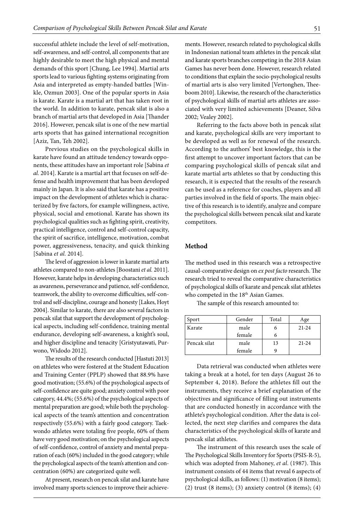successful athlete include the level of self-motivation, self-awareness, and self-control, all components that are highly desirable to meet the high physical and mental demands of this sport [Chung, Lee 1994]. Martial arts sports lead to various fighting systems originating from Asia and interpreted as empty-handed battles [Winkle, Ozmun 2003]. One of the popular sports in Asia is karate. Karate is a martial art that has taken root in the world. In addition to karate, pencak silat is also a branch of martial arts that developed in Asia [Thander 2016]. However, pencak silat is one of the new martial arts sports that has gained international recognition [Aziz, Tan, Teh 2002].

Previous studies on the psychological skills in karate have found an attitude tendency towards opponents, these attitudes have an important role [Sabina *et al.* 2014]. Karate is a martial art that focuses on self-defense and health improvement that has been developed mainly in Japan. It is also said that karate has a positive impact on the development of athletes which is characterized by five factors, for example willingness, active, physical, social and emotional. Karate has shown its psychological qualities such as fighting spirit, creativity, practical intelligence, control and self-control capacity, the spirit of sacrifice, intelligence, motivation, combat power, aggressiveness, tenacity, and quick thinking [Sabina *et al.* 2014].

The level of aggression is lower in karate martial arts athletes compared to non-athletes [Boostani *et al.* 2011]. However, karate helps in developing characteristics such as awareness, perseverance and patience, self-confidence, teamwork, the ability to overcome difficulties, self-control and self-discipline, courage and honesty [Lakes, Hoyt 2004]. Similar to karate, there are also several factors in pencak silat that support the development of psychological aspects, including self-confidence, training mental endurance, developing self-awareness, a knight's soul, and higher discipline and tenacity [Gristyutawati, Purwono, Widodo 2012].

The results of the research conducted [Hastuti 2013] on athletes who were fostered at the Student Education and Training Center (PPLP) showed that 88.9% have good motivation; (55.6%) of the psychological aspects of self-confidence are quite good; anxiety control with poor category, 44.4%; (55.6%) of the psychological aspects of mental preparation are good; while both the psychological aspects of the team's attention and concentration respectively (55.6%) with a fairly good category. Taekwondo athletes were totaling five people, 60% of them have very good motivation; on the psychological aspects of self-confidence, control of anxiety and mental preparation of each (60%) included in the good category; while the psychological aspects of the team's attention and concentration (60%) are categorized quite well.

At present, research on pencak silat and karate have involved many sports sciences to improve their achievements. However, research related to psychological skills in Indonesian national team athletes in the pencak silat and karate sports branches competing in the 2018 Asian Games has never been done. However, research related to conditions that explain the socio-psychological results of martial arts is also very limited [Vertonghen, Theeboom 2010]. Likewise, the research of the characteristics of psychological skills of martial arts athletes are associated with very limited achievements [Deaner, Silva 2002; Vealey 2002].

Referring to the facts above both in pencak silat and karate, psychological skills are very important to be developed as well as for renewal of the research. According to the authors' best knowledge, this is the first attempt to uncover important factors that can be comparing psychological skills of pencak silat and karate martial arts athletes so that by conducting this research, it is expected that the results of the research can be used as a reference for coaches, players and all parties involved in the field of sports. The main objective of this research is to identify, analyze and compare the psychological skills between pencak silat and karate competitors.

## **Method**

The method used in this research was a retrospective causal-comparative design on *ex post facto* research. The research tried to reveal the comparative characteristics of psychological skills of karate and pencak silat athletes who competed in the 18<sup>th</sup> Asian Games.

The sample of this research amounted to:

| Sport                | Gender | Total | Age       |
|----------------------|--------|-------|-----------|
| Karate               | male   | n     | $21 - 24$ |
|                      | female | n     |           |
| Pencak silat<br>male |        | 13    | $21 - 24$ |
|                      | female |       |           |

Data retrieval was conducted when athletes were taking a break at a hotel, for ten days (August 26 to September 4, 2018). Before the athletes fill out the instruments, they receive a brief explanation of the objectives and significance of filling out instruments that are conducted honestly in accordance with the athlete's psychological condition. After the data is collected, the next step clarifies and compares the data characteristics of the psychological skills of karate and pencak silat athletes.

The instrument of this research uses the scale of The Psychological Skills Inventory for Sports (PSIS-R-5), which was adopted from Mahoney, *et al*. (1987). This instrument consists of 44 items that reveal 6 aspects of psychological skills, as follows: (1) motivation (8 items); (2) trust (8 items); (3) anxiety control (8 items); (4)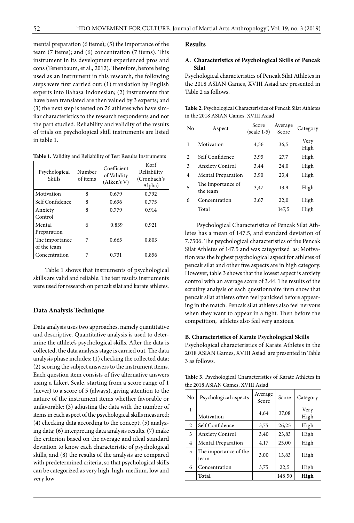mental preparation (6 items); (5) the importance of the team (7 items); and (6) concentration (7 items). This instrument in its development experienced pros and cons (Tenenbaum, et al., 2012). Therefore, before being used as an instrument in this research, the following steps were first carried out: (1) translation by English experts into Bahasa Indonesian; (2) instruments that have been translated are then valued by 3 experts; and (3) the next step is tested on 76 athletes who have similar characteristics to the research respondents and not the part studied. Reliability and validity of the results of trials on psychological skill instruments are listed in table 1.

| Table 1. Validity and Reliability of Test Results Instruments |  |  |  |
|---------------------------------------------------------------|--|--|--|
|---------------------------------------------------------------|--|--|--|

| Psychological<br>Skills       | Number<br>of items | Coefficient<br>of Validity<br>(Aiken's V) | Korf<br>Reliability<br>(Cronbach's<br>Alpha) |
|-------------------------------|--------------------|-------------------------------------------|----------------------------------------------|
| Motivation                    | 8                  | 0,679                                     | 0.792                                        |
| Self Confidence               | 8                  | 0.636                                     | 0,775                                        |
| Anxiety<br>Control            | 8                  | 0,779                                     | 0,914                                        |
| Mental<br>Preparation         | 6                  | 0,839                                     | 0,921                                        |
| The importance<br>of the team | 7                  | 0.665                                     | 0.803                                        |
| Concentration                 | 7                  | 0,731                                     | 0,856                                        |

Table 1 shows that instruments of psychological skills are valid and reliable. The test results instruments were used for research on pencak silat and karate athletes.

# **Data Analysis Technique**

Data analysis uses two approaches, namely quantitative and descriptive. Quantitative analysis is used to determine the athlete's psychological skills. After the data is collected, the data analysis stage is carried out. The data analysis phase includes: (1) checking the collected data; (2) scoring the subject answers to the instrument items. Each question item consists of five alternative answers using a Likert Scale, starting from a score range of 1 (never) to a score of 5 (always), giving attention to the nature of the instrument items whether favorable or unfavorable; (3) adjusting the data with the number of items in each aspect of the psychological skills measured; (4) checking data according to the concept; (5) analyzing data; (6) interpreting data analysis results. (7) make the criterion based on the average and ideal standard deviation to know each characteristic of psychological skills, and (8) the results of the analysis are compared with predetermined criteria, so that psychological skills can be categorized as very high, high, medium, low and very low

#### **Results**

#### **A. Characteristics of Psychological Skills of Pencak Silat**

Psychological characteristics of Pencak Silat Athletes in the 2018 ASIAN Games, XVIII Asiad are presented in Table 2 as follows.

**Table 2.** Psychological Characteristics of Pencak Silat Athletes in the 2018 ASIAN Games, XVIII Asiad

| No | Aspect                        | Score<br>$(scale 1-5)$ | Average<br>Score | Category     |
|----|-------------------------------|------------------------|------------------|--------------|
| 1  | Motivation                    | 4,56                   | 36,5             | Very<br>High |
| 2  | Self Confidence               | 3,95                   | 27,7             | High         |
| 3  | <b>Anxiety Control</b>        | 3,44                   | 24,0             | High         |
| 4  | <b>Mental Preparation</b>     | 3,90                   | 23,4             | High         |
| 5  | The importance of<br>the team | 3,47                   | 13,9             | High         |
| 6  | Concentration                 | 3,67                   | 22,0             | High         |
|    | Total                         |                        | 147.5            | High         |

Psychological Characteristics of Pencak Silat Athletes has a mean of 147.5, and standard deviation of 7.7506. The psychological characteristics of the Pencak Silat Athletes of 147.5 and was categorized as: Motivation was the highest psychological aspect for athletes of pencak silat and other five aspects are in high category. However, table 3 shows that the lowest aspect is anxiety control with an average score of 3.44. The results of the scrutiny analysis of each questionnaire item show that pencak silat athletes often feel panicked before appearing in the match. Pencak silat athletes also feel nervous when they want to appear in a fight. Then before the competition, athletes also feel very anxious.

#### **B. Characteristics of Karate Psychological Skills**

Psychological characteristics of Karate Athletes in the 2018 ASIAN Games, XVIII Asiad are presented in Table 3 as follows.

**Table 3.** Psychological Characteristics of Karate Athletes in the 2018 ASIAN Games, XVIII Asiad

| No | Psychological aspects         | Average<br>Score | Score  | Category     |
|----|-------------------------------|------------------|--------|--------------|
| 1  | Motivation                    | 4.64             | 37,08  | Very<br>High |
| 2  | Self Confidence               | 3,75             | 26,25  | High         |
| 3  | <b>Anxiety Control</b>        | 3,40             | 23,83  | High         |
| 4  | Mental Preparation            | 4,17             | 25,00  | High         |
| 5  | The importance of the<br>team | 3,00             | 13,83  | High         |
| 6  | Concentration                 | 3,75             | 22,5   | High         |
|    | Total                         |                  | 148,50 | High         |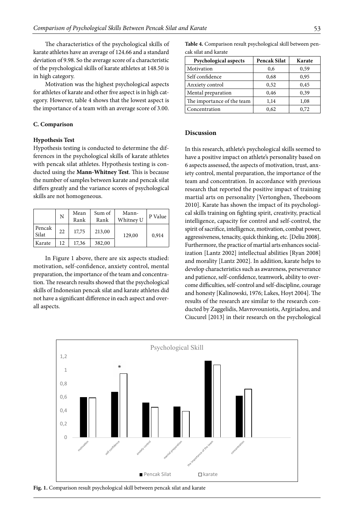The characteristics of the psychological skills of karate athletes have an average of 124.66 and a standard deviation of 9.98. So the average score of a characteristic of the psychological skills of karate athletes at 148.50 is in high category.

Motivation was the highest psychological aspects for athletes of karate and other five aspect is in high category. However, table 4 shows that the lowest aspect is the importance of a team with an average score of 3.00.

#### **C. Comparison**

#### **Hypothesis Test**

Hypothesis testing is conducted to determine the differences in the psychological skills of karate athletes with pencak silat athletes. Hypothesis testing is conducted using the **Mann-Whitney Test**. This is because the number of samples between karate and pencak silat differs greatly and the variance scores of psychological skills are not homogeneous.

|                 | N   | Mean<br>Rank | Sum of<br>Rank | Mann-<br>Whitney U | P Value |
|-----------------|-----|--------------|----------------|--------------------|---------|
| Pencak<br>Silat | 22  | 17.75        | 213,00         | 129,00             | 0.914   |
| Karate          | 12. | 17,36        | 382,00         |                    |         |

In Figure 1 above, there are six aspects studied: motivation, self-confidence, anxiety control, mental preparation, the importance of the team and concentration. The research results showed that the psychological skills of Indonesian pencak silat and karate athletes did not have a significant difference in each aspect and overall aspects.

**Table 4.** Comparison result psychological skill between pencak silat and karate

| Psychological aspects      | Pencak Silat | Karate |
|----------------------------|--------------|--------|
| Motivation                 | 0,6          | 0,59   |
| Self confidence            | 0,68         | 0,95   |
| Anxiety control            | 0,52         | 0,45   |
| Mental preparation         | 0,46         | 0,39   |
| The importance of the team | 1,14         | 1,08   |
| Concentration              | 0,62         | 0.72   |

## **Discussion**

In this research, athlete's psychological skills seemed to have a positive impact on athlete's personality based on 6 aspects assessed, the aspects of motivation, trust, anxiety control, mental preparation, the importance of the team and concentration. In accordance with previous research that reported the positive impact of training martial arts on personality [Vertonghen, Theeboom 2010]. Karate has shown the impact of its psychological skills training on fighting spirit, creativity, practical intelligence, capacity for control and self-control, the spirit of sacrifice, intelligence, motivation, combat power, aggressiveness, tenacity, quick thinking, etc. [Deliu 2008]. Furthermore, the practice of martial arts enhances socialization [Lantz 2002] intellectual abilities [Ryan 2008] and morality [Lantz 2002]. In addition, karate helps to develop characteristics such as awareness, perseverance and patience, self-confidence, teamwork, ability to overcome difficulties, self-control and self-discipline, courage and honesty [Kalinowski, 1976; Lakes, Hoyt 2004]. The results of the research are similar to the research conducted by Zaggelidis, Mavrovouniotis, Argiriadou, and Ciucurel [2013] in their research on the psychological



**Fig. 1.** Comparison result psychological skill between pencak silat and karate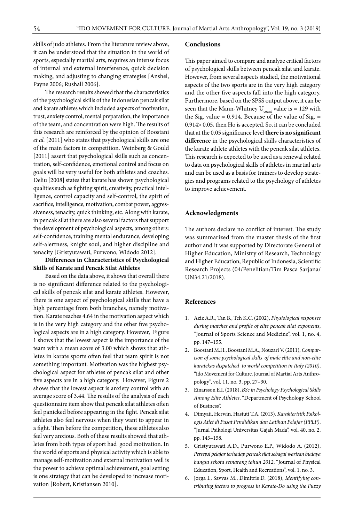skills of judo athletes. From the literature review above, it can be understood that the situation in the world of sports, especially martial arts, requires an intense focus of internal and external interference, quick decision making, and adjusting to changing strategies [Anshel, Payne 2006; Rushall 2006].

The research results showed that the characteristics of the psychological skills of the Indonesian pencak silat and karate athletes which included aspects of motivation, trust, anxiety control, mental preparation, the importance of the team, and concentration were high. The results of this research are reinforced by the opinion of Boostani *et al.* [2011] who states that psychological skills are one of the main factors in competition. Weinberg & Gould [2011] assert that psychological skills such as concentration, self-confidence, emotional control and focus on goals will be very useful for both athletes and coaches. Deliu [2008] states that karate has shown psychological qualities such as fighting spirit, creativity, practical intelligence, control capacity and self-control, the spirit of sacrifice, intelligence, motivation, combat power, aggressiveness, tenacity, quick thinking, etc. Along with karate, in pencak silat there are also several factors that support the development of psychological aspects, among others: self-confidence, training mental endurance, developing self-alertness, knight soul, and higher discipline and tenacity [Gristyutawati, Purwono, Widodo 2012].

# **Differences in Characteristics of Psychological Skills of Karate and Pencak Silat Athletes**

Based on the data above, it shows that overall there is no significant difference related to the psychological skills of pencak silat and karate athletes. However, there is one aspect of psychological skills that have a high percentage from both branches, namely motivation. Karate reaches 4.64 in the motivation aspect which is in the very high category and the other five psychological aspects are in a high category. However, Figure 1 shows that the lowest aspect is the importance of the team with a mean score of 3.00 which shows that athletes in karate sports often feel that team spirit is not something important. Motivation was the highest psychological aspect for athletes of pencak silat and other five aspects are in a high category. However, Figure 2 shows that the lowest aspect is anxiety control with an average score of 3.44. The results of the analysis of each questionnaire item show that pencak silat athletes often feel panicked before appearing in the fight. Pencak silat athletes also feel nervous when they want to appear in a fight. Then before the competition, these athletes also feel very anxious. Both of these results showed that athletes from both types of sport had good motivation. In the world of sports and physical activity which is able to manage self-motivation and external motivation well is the power to achieve optimal achievement, goal setting is one strategy that can be developed to increase motivation [Robert, Kristiansen 2010].

## **Conclusions**

This paper aimed to compare and analyze critical factors of psychological skills between pencak silat and karate. However, from several aspects studied, the motivational aspects of the two sports are in the very high category and the other five aspects fall into the high category. Furthermore, based on the SPSS output above, it can be seen that the Mann-Whitney  $U_{\text{count}}$  value is = 129 with the Sig. value  $= 0.914$ . Because of the value of Sig.  $=$ 0.914> 0.05, then Ho is accepted. So, it can be concluded that at the 0.05 significance level **there is no significant difference** in the psychological skills characteristics of the karate athlete athletes with the pencak silat athletes. This research is expected to be used as a renewal related to data on psychological skills of athletes in martial arts and can be used as a basis for trainers to develop strategies and programs related to the psychology of athletes to improve achievement.

# **Acknowledgments**

The authors declare no conflict of interest. The study was summarized from the master thesis of the first author and it was supported by Directorate General of Higher Education, Ministry of Research, Technology and Higher Education, Republic of Indonesia, Scientific Research Projects (04/Penelitian/Tim Pasca Sarjana/ UN34.21/2018).

#### **References**

- 1. Aziz A.R., Tan B., Teh K.C. (2002), *Physiological responses during matches and profile of elite pencak silat exponents*, "Journal of Sports Science and Medicine", vol. 1, no. 4, pp. 147–155.
- 2. Boostani M.H., Boostani M.A., Nouzari V. (2011), *Comparison of some psychological skills of male elite and non-elite karatekas dispatched to world competition in Italy (2010)*, "Ido Movement for Culture. Journal of Martial Arts Anthropology", vol. 11, no. 3, pp. 27–30.
- 3. Einarsson E.I. (2018), *BSc in Psychology Psychological Skills Among Elite Athletes*, "Department of Psychology School of Business".
- 4. Dimyati, Herwin, Hastuti T.A. (2013), *Karakteristik Psikologis Atlet di Pusat Pendidikan dan Latihan Pelajar (PPLP)*, "Jurnal Psikologi Universitas Gajah Mada", vol. 40, no. 2, pp. 143–158.
- 5. Gristyutawati A.D., Purwono E.P., Widodo A. (2012), *Persepsi pelajar terhadap pencak silat sebagai warisan budaya bangsa sekota semarang tahun 2012*, "Journal of Physical Education, Sport, Health and Recreations", vol. 1, no. 3.
- 6. Jorga I., Savvas M., Dimitris D. (2018), *Identifying contributing factors to progress in Karate-Do using the Fuzzy*